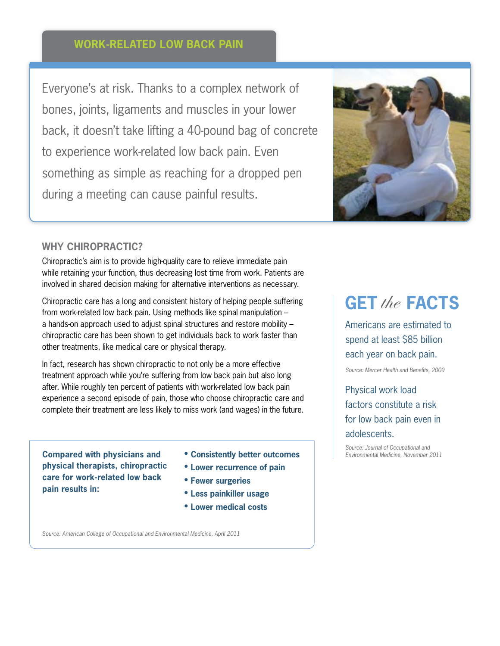## **work-related low back pain**

Everyone's at risk. Thanks to a complex network of bones, joints, ligaments and muscles in your lower back, it doesn't take lifting a 40-pound bag of concrete to experience work-related low back pain. Even something as simple as reaching for a dropped pen during a meeting can cause painful results.



#### **Why Chiropractic?**

Chiropractic's aim is to provide high-quality care to relieve immediate pain while retaining your function, thus decreasing lost time from work. Patients are involved in shared decision making for alternative interventions as necessary.

Chiropractic care has a long and consistent history of helping people suffering from work-related low back pain. Using methods like spinal manipulation – a hands-on approach used to adjust spinal structures and restore mobility – chiropractic care has been shown to get individuals back to work faster than other treatments, like medical care or physical therapy.

In fact, research has shown chiropractic to not only be a more effective treatment approach while you're suffering from low back pain but also long after. While roughly ten percent of patients with work-related low back pain experience a second episode of pain, those who choose chiropractic care and complete their treatment are less likely to miss work (and wages) in the future.

**Compared with physicians and physical therapists, chiropractic care for work-related low back pain results in:**

- **• Consistently better outcomes**
- **• Lower recurrence of pain**
- **• Fewer surgeries**
- **• Less painkiller usage • Lower medical costs**

*Source: American College of Occupational and Environmental Medicine, April 2011*

## **GET** the **FACTS**

Americans are estimated to spend at least \$85 billion each year on back pain.

*Source: Mercer Health and Benefits, 2009*

Physical work load factors constitute a risk for low back pain even in adolescents.

*Source: Journal of Occupational and Environmental Medicine, November 2011*